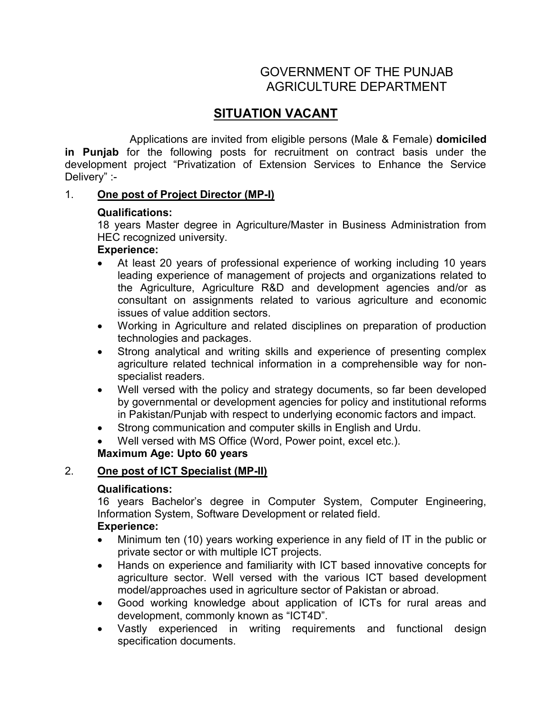# GOVERNMENT OF THE PUNJAB AGRICULTURE DEPARTMENT

# SITUATION VACANT

 Applications are invited from eligible persons (Male & Female) domiciled in Punjab for the following posts for recruitment on contract basis under the development project "Privatization of Extension Services to Enhance the Service Delivery" :-

## 1. One post of Project Director (MP-I)

## Qualifications:

18 years Master degree in Agriculture/Master in Business Administration from HEC recognized university.

#### Experience:

- At least 20 years of professional experience of working including 10 years leading experience of management of projects and organizations related to the Agriculture, Agriculture R&D and development agencies and/or as consultant on assignments related to various agriculture and economic issues of value addition sectors.
- Working in Agriculture and related disciplines on preparation of production technologies and packages.
- Strong analytical and writing skills and experience of presenting complex agriculture related technical information in a comprehensible way for nonspecialist readers.
- Well versed with the policy and strategy documents, so far been developed by governmental or development agencies for policy and institutional reforms in Pakistan/Punjab with respect to underlying economic factors and impact.
- Strong communication and computer skills in English and Urdu.
- Well versed with MS Office (Word, Power point, excel etc.).

## Maximum Age: Upto 60 years

## 2. One post of ICT Specialist (MP-II)

#### Qualifications:

16 years Bachelor's degree in Computer System, Computer Engineering, Information System, Software Development or related field.

#### Experience:

- Minimum ten (10) years working experience in any field of IT in the public or private sector or with multiple ICT projects.
- Hands on experience and familiarity with ICT based innovative concepts for agriculture sector. Well versed with the various ICT based development model/approaches used in agriculture sector of Pakistan or abroad.
- Good working knowledge about application of ICTs for rural areas and development, commonly known as "ICT4D".
- Vastly experienced in writing requirements and functional design specification documents.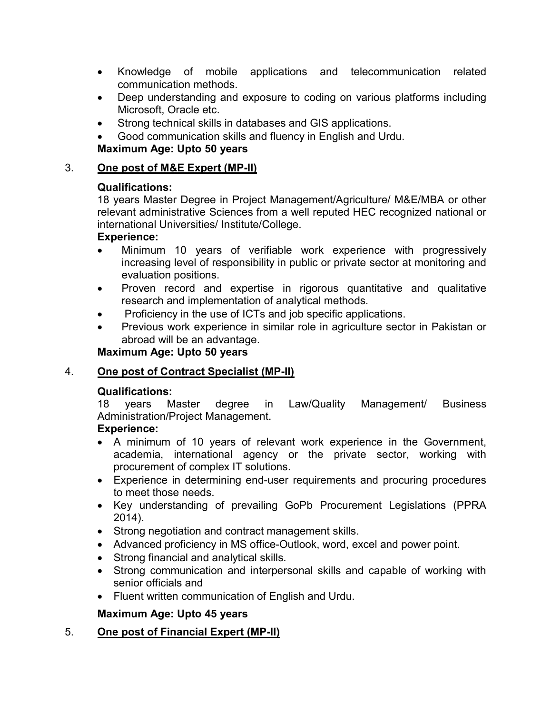- Knowledge of mobile applications and telecommunication related communication methods.
- Deep understanding and exposure to coding on various platforms including Microsoft, Oracle etc.
- Strong technical skills in databases and GIS applications.
- Good communication skills and fluency in English and Urdu.

## Maximum Age: Upto 50 years

## 3. One post of M&E Expert (MP-II)

## Qualifications:

18 years Master Degree in Project Management/Agriculture/ M&E/MBA or other relevant administrative Sciences from a well reputed HEC recognized national or international Universities/ Institute/College.

## Experience:

- Minimum 10 years of verifiable work experience with progressively increasing level of responsibility in public or private sector at monitoring and evaluation positions.
- Proven record and expertise in rigorous quantitative and qualitative research and implementation of analytical methods.
- Proficiency in the use of ICTs and job specific applications.
- Previous work experience in similar role in agriculture sector in Pakistan or abroad will be an advantage.

## Maximum Age: Upto 50 years

## 4. One post of Contract Specialist (MP-II)

## Qualifications:

18 years Master degree in Law/Quality Management/ Business Administration/Project Management.

## Experience:

- A minimum of 10 years of relevant work experience in the Government, academia, international agency or the private sector, working with procurement of complex IT solutions.
- Experience in determining end-user requirements and procuring procedures to meet those needs.
- Key understanding of prevailing GoPb Procurement Legislations (PPRA 2014).
- Strong negotiation and contract management skills.
- Advanced proficiency in MS office-Outlook, word, excel and power point.
- Strong financial and analytical skills.
- Strong communication and interpersonal skills and capable of working with senior officials and
- Fluent written communication of English and Urdu.

## Maximum Age: Upto 45 years

## 5. One post of Financial Expert (MP-II)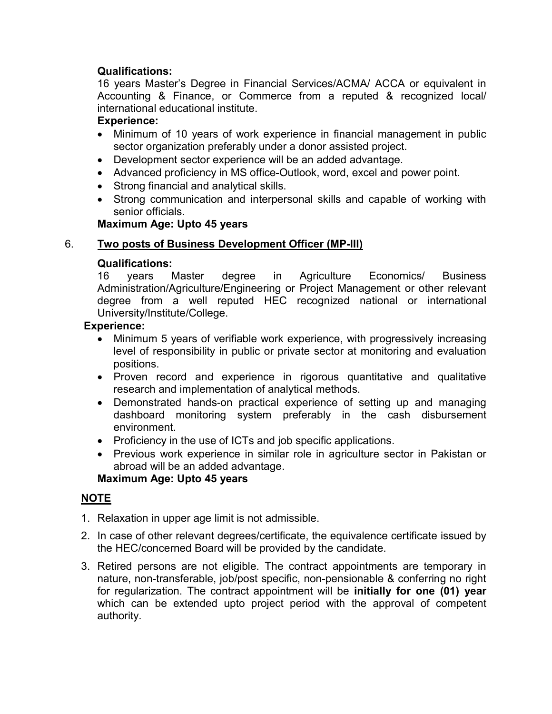## Qualifications:

16 years Master's Degree in Financial Services/ACMA/ ACCA or equivalent in Accounting & Finance, or Commerce from a reputed & recognized local/ international educational institute.

## Experience:

- Minimum of 10 years of work experience in financial management in public sector organization preferably under a donor assisted project.
- Development sector experience will be an added advantage.
- Advanced proficiency in MS office-Outlook, word, excel and power point.
- Strong financial and analytical skills.
- Strong communication and interpersonal skills and capable of working with senior officials.

#### Maximum Age: Upto 45 years

## 6. Two posts of Business Development Officer (MP-III)

#### Qualifications:

16 years Master degree in Agriculture Economics/ Business Administration/Agriculture/Engineering or Project Management or other relevant degree from a well reputed HEC recognized national or international University/Institute/College.

#### Experience:

- Minimum 5 years of verifiable work experience, with progressively increasing level of responsibility in public or private sector at monitoring and evaluation positions.
- Proven record and experience in rigorous quantitative and qualitative research and implementation of analytical methods.
- Demonstrated hands-on practical experience of setting up and managing dashboard monitoring system preferably in the cash disbursement environment.
- Proficiency in the use of ICTs and job specific applications.
- Previous work experience in similar role in agriculture sector in Pakistan or abroad will be an added advantage.

#### Maximum Age: Upto 45 years

#### NOTE

- 1. Relaxation in upper age limit is not admissible.
- 2. In case of other relevant degrees/certificate, the equivalence certificate issued by the HEC/concerned Board will be provided by the candidate.
- 3. Retired persons are not eligible. The contract appointments are temporary in nature, non-transferable, job/post specific, non-pensionable & conferring no right for regularization. The contract appointment will be initially for one (01) year which can be extended upto project period with the approval of competent authority.